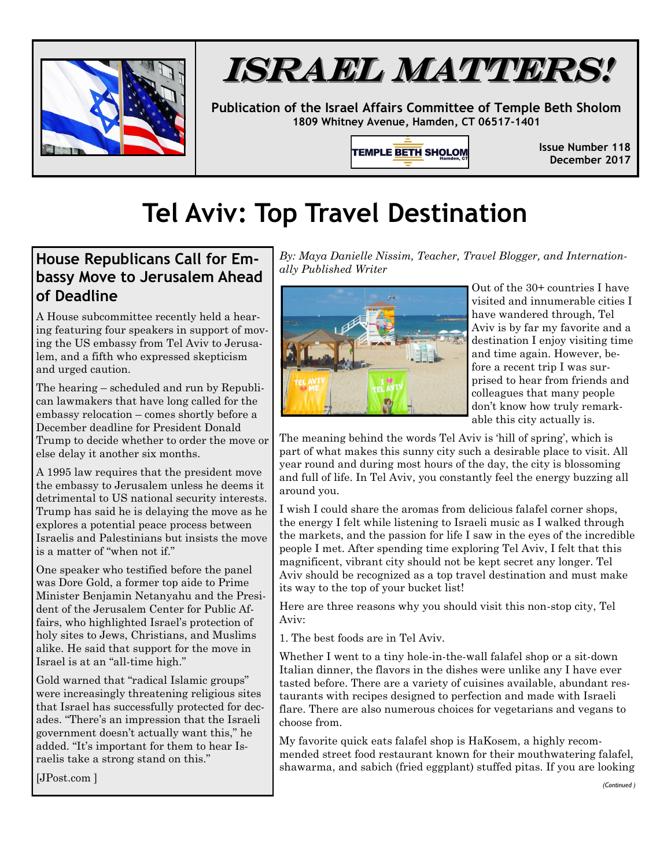

# ISRAEL MATTERS!

**Publication of the Israel Affairs Committee of Temple Beth Sholom 1809 Whitney Avenue, Hamden, CT 06517-1401**

**TEMPLE BETH SHOLOM** 

**Issue Number 118 December 2017**

# **Tel Aviv: Top Travel Destination**

#### **House Republicans Call for Embassy Move to Jerusalem Ahead of Deadline**

A House subcommittee recently held a hearing featuring four speakers in support of moving the US embassy from Tel Aviv to Jerusalem, and a fifth who expressed skepticism and urged caution.

The hearing – scheduled and run by Republican lawmakers that have long called for the embassy relocation – comes shortly before a December deadline for President Donald Trump to decide whether to order the move or else delay it another six months.

A 1995 law requires that the president move the embassy to Jerusalem unless he deems it detrimental to US national security interests. Trump has said he is delaying the move as he explores a potential peace process between Israelis and Palestinians but insists the move is a matter of "when not if."

One speaker who testified before the panel was Dore Gold, a former top aide to Prime Minister Benjamin Netanyahu and the President of the Jerusalem Center for Public Affairs, who highlighted Israel's protection of holy sites to Jews, Christians, and Muslims alike. He said that support for the move in Israel is at an "all-time high."

Gold warned that "radical Islamic groups" were increasingly threatening religious sites that Israel has successfully protected for decades. "There's an impression that the Israeli government doesn't actually want this," he added. "It's important for them to hear Israelis take a strong stand on this."

[JPost.com ]





Out of the 30+ countries I have visited and innumerable cities I have wandered through, Tel Aviv is by far my favorite and a destination I enjoy visiting time and time again. However, before a recent trip I was surprised to hear from friends and colleagues that many people don't know how truly remarkable this city actually is.

The meaning behind the words Tel Aviv is 'hill of spring', which is part of what makes this sunny city such a desirable place to visit. All year round and during most hours of the day, the city is blossoming and full of life. In Tel Aviv, you constantly feel the energy buzzing all around you.

I wish I could share the aromas from delicious falafel corner shops, the energy I felt while listening to Israeli music as I walked through the markets, and the passion for life I saw in the eyes of the incredible people I met. After spending time exploring Tel Aviv, I felt that this magnificent, vibrant city should not be kept secret any longer. Tel Aviv should be recognized as a top travel destination and must make its way to the top of your bucket list!

Here are three reasons why you should visit this non-stop city, Tel Aviv:

1. The best foods are in Tel Aviv.

Whether I went to a tiny hole-in-the-wall falafel shop or a sit-down Italian dinner, the flavors in the dishes were unlike any I have ever tasted before. There are a variety of cuisines available, abundant restaurants with recipes designed to perfection and made with Israeli flare. There are also numerous choices for vegetarians and vegans to choose from.

My favorite quick eats falafel shop is HaKosem, a highly recommended street food restaurant known for their mouthwatering falafel, shawarma, and sabich (fried eggplant) stuffed pitas. If you are looking